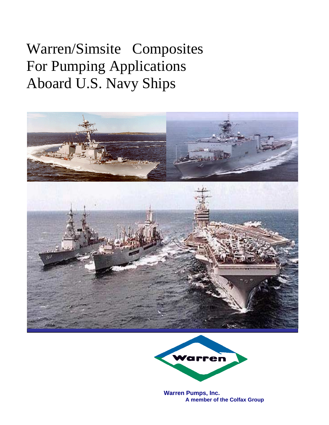## Warren/Simsite® Composites For Pumping Applications Aboard U.S. Navy Ships





**Warren Pumps, Inc. A member of the Colfax Group**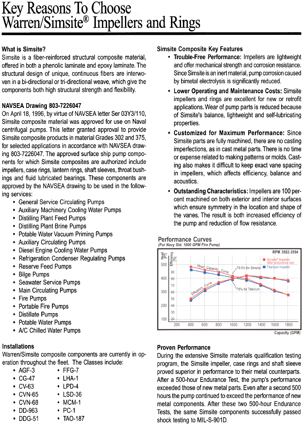# Key Reasons To Choose<br>Warren/Simsite® Impellers and Rings

#### **What is Simsite?**

Simsite is a fiber-reinforced structural composite material, offered in both a phenolic laminate and epoxy laminate. The structural design of unique, continuous fibers are interwoven in a bi-directional or tri-directional weave, which give the components both high structural strength and flexibility.

#### NAVSEA Drawing 803-7226047

On April 18, 1996, by virtue of NAVSEA letter Ser 03Y3/110, Simsite composite material was approved for use on Naval centrifugal pumps. This letter granted approval to provide Simsite composite products in material Grades 302 and 375, for selected applications in accordance with NAVSEA drawing 803-7226047. The approved surface ship pump components for which Simsite composites are authorized include impellers, case rings, lantern rings, shaft sleeves, throat bushings and fluid lubricated bearings. These components are approved by the NAVSEA drawing to be used in the following services:

- General Service Circulating Pumps
- Auxiliary Machinery Cooling Water Pumps
- Distilling Plant Feed Pumps
- Distilling Plant Brine Pumps
- Potable Water Vacuum Priming Pumps
- Auxiliary Circulating Pumps
- Diesel Engine Cooling Water Pumps
- Refrigeration Condenser Regulating Pumps
- Reserve Feed Pumps
- Bilge Pumps
- **Seawater Service Pumps**  $\bullet$
- Main Circulating Pumps
- Fire Pumps
- **Portable Fire Pumps**
- Distillate Pumps
- Potable Water Pumps
- A/C Chilled Water Pumps

#### **Installations**

Warren/Simsite composite components are currently in operation throughout the fleet. The Classes include:

- $\bullet$  AGF-3  $\cdot$  FFG-7
- $\cdot$  CG-47
- $\cdot$  CV-63
- $\cdot$  CVN-65
- CVN-68
- DD-963
- DDG-51
- $\cdot$  LSD-36  $\cdot$  MCM-1

• LHA-1

 $\cdot$  LPD-4

- $\cdot$  PC-1
- TAO-187

#### **Simsite Composite Key Features**

- Trouble-Free Performance: Impellers are lightweight and offer mechanical strength and corrosion resistance. Since Simsite is an inert material, pump corrosion caused by bimetal electrolysis is significantly reduced.
- **Lower Operating and Maintenance Costs: Simsite** impellers and rings are excellent for new or retrofit applications. Wear of pump parts is reduced because of Simsite's balance, lightweight and self-lubricating properties.
- Customized for Maximum Performance: Since Simsite parts are fully machined, there are no casting imperfections, as in cast metal parts. There is no time or expense related to making patterns or molds. Casting also makes it difficult to keep exact vane spacing in impellers, which affects efficiency, balance and acoustics.
- **Outstanding Characteristics: Impellers are 100 per**cent machined on both exterior and interior surfaces which ensure symmetry in the location and shape of the vanes. The result is both increased efficiency of the pump and reduction of flow resistance.

#### **Performance Curves**

(For Navy Std. 1000 GPM Fire Pump)



Capacity (GPM)

#### **Proven Performance**

During the extensive Simsite materials qualification testing program, the Simsite impeller, case rings and shaft sleeve proved superior in performance to their metal counterparts. After a 500-hour Endurance Test, the pump's performance exceeded those of new metal parts. Even after a second 500 hours the pump continued to exceed the performance of new metal components. After these two 500-hour Endurance Tests, the same Simsite components successfully passed shock testing to MIL-S-901D.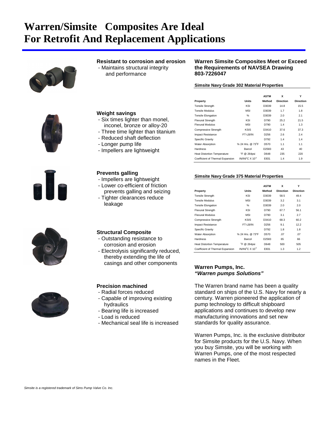## **Warren/Simsite Composites Are Ideal For Retrofit And Replacement Applications**



#### **Resistant to corrosion and erosion**

 - Maintains structural integrity and performance

#### **Warren Simsite Composites Meet or Exceed the Requirements of NAVSEA Drawing 803-7226047**

**Property CONSCRUTER Units** Method Direction Direction Tensile Strength KSI D3039 14.8 15.5 **Tensile Modulus 1.8** MSI D3039 1.7 1.8 Tensile Elongation % D3039 2.0 2.1 Flexural Strength **KSI** D790 25.2 21.5 Flexural Modulus MSI D790 1.4 1.3 Compressive Strength KSIS D3410 37.6 37.3 Impact Resistance FT-LB/IN D256 2.6 2.4 Specific Gravity **Contract Contract Contract Contract Contract Contract Contract Contract Contract Contract Contract Contract Contract Contract Contract Contract Contract Contract Contract Contract Contract Contract Contra** 

Hardness Barcol D2583 43 40

**ASTM X Y**

F @ 264psi D648 235 220

IN/IN/°C X 10<sup>-5</sup> E831 1.4 1.9

D570 1.1 1.1

#### **Simsite Navy Grade 302 Material Properties**



#### **Weight savings**

- Six times lighter than monel, inconel, bronze or alloy-20
- Three time lighter than titanium
- Reduced shaft deflection
- Longer pump life
- Impellers are lightweight

#### **Prevents galling**

- Impellers are lightweight
- Lower co-efficient of friction prevents galling and seizing
- Tighter clearances reduce leakage

#### **Structural Composite**

- Outstanding resistance to corrosion and erosion
- Electrolysis significantly reduced, thereby extending the life of casings and other components

#### **Precision machined**

- Radial forces reduced
- Capable of improving existing hydraulics
- Bearing life is increased
- Load is reduced
- Mechanical seal life is increased

### **Simsite Navy Grade 375 Material Properties**

Water Absorption % 24 Hrs. @ 73°F

Heat Distortion Temperature

Coefficient of Thermal Expansion

|                                    |                                        | <b>ASTM</b>      | x                | Y                |  |
|------------------------------------|----------------------------------------|------------------|------------------|------------------|--|
| Property                           | Units                                  | Method           | <b>Direction</b> | <b>Direction</b> |  |
| <b>Tensile Strength</b>            | KSI                                    | D3039            | 58.5             | 49.4             |  |
| Tensile Modulus                    | MSI                                    | D3039            | 3.2              | 3.1              |  |
| <b>Tensile Elongation</b>          | %                                      | D3039            | 2.0              | 2.0              |  |
| <b>Flexural Strength</b>           | KSI                                    | D790             | 67.7             | 56.1             |  |
| <b>Flexural Modulus</b>            | <b>MSI</b>                             | D790             | 3.1              | 2.7              |  |
| <b>Compressive Strength</b>        | <b>KSIS</b>                            | D3410            | 68.3             | 60.2             |  |
| Impact Resistance                  | FT-LB/IN                               | D <sub>256</sub> | 9.1              | 12.2             |  |
| Specific Gravity                   |                                        | D792             | 1.8              | 1.8              |  |
| <b>Water Absorption</b>            | % 24 Hrs. @ 73°F                       | D570             | .07              | .07              |  |
| Hardness                           | Barcol                                 | D2583            | 65               | 66               |  |
| <b>Heat Distortion Temperature</b> | °F @ 264psi                            | D648             | 500              | 505              |  |
| Coefficient of Thermal Expansion   | IN/IN/ $\mathrm{C}$ X 10 <sup>-5</sup> | E831             | 1.3              | 1.2              |  |

#### **Warren Pumps, Inc.** *"Warren pumps Solutions"*

The Warren brand name has been a quality standard on ships of the U.S. Navy for nearly a century. Warren pioneered the application of pump technology to difficult shipboard applications and continues to develop new manufacturing innovations and set new standards for quality assurance.

Warren Pumps, Inc. is the exclusive distributor for Simsite products for the U.S. Navy. When you buy Simsite, you will be working with Warren Pumps, one of the most respected names in the Fleet.